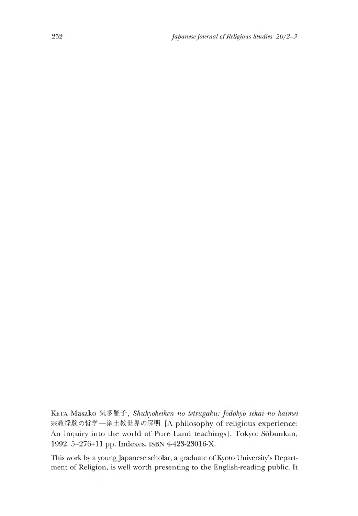Keta Masako 気多雅子,*SMtkydkeiken no tetsugaku: Jodokyo sekai no kaimei* 宗教経験の哲学一浄土教世界の解明[A philosophy of religious experience: An inquiry into the world of Pure Land teachings], Tokyo: Sobunkan, 1992. 5+276+11 pp. Indexes. ISBN 4-423-23016-X.

This work by a young Japanese scholar, a graduate of Kyoto University's Department of Religion, is well worth presenting to the English-reading public. It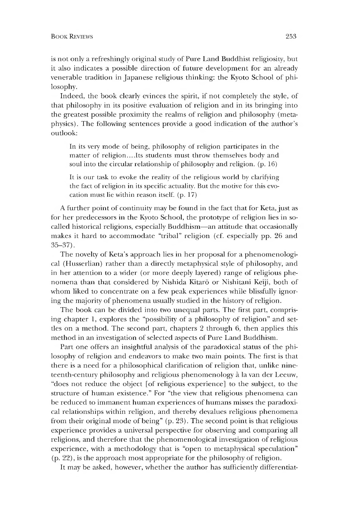## **BOOK REVIEWS** 253

is not only a refreshingly original study of Pure Land Buddhist religiosity, but it also indicates a possible direction of future development for an already venerable tradition in Japanese religious thinking: the Kyoto School of philosophy.

Indeed, the book clearly evinces the spirit, if not completely the style, of that philosophy in its positive evaluation of religion and in its bringing into the greatest possible proximity the realms of religion and philosophy (metaphysics) . The following sentences provide a good indication of the author's outlook:

In its very mode of being, philosophy of religion participates in the matter of religion....Its students must throw themselves body and soul into the circular relationship of philosophy and religion, (p.16)

It is our task to evoke the reality of the religious world by clarifying the fact of religion in its specific actuality. But the motive for this evocation must lie within reason itself, (p.17)

A further point of continuity may be found in the fact that for Keta, just as for her predecessors in the Kyoto School, the prototype of religion lies in socalled historical religions, especially Buddhism—an attitude that occasionally makes it hard to accommodate "tribal" religion (cf. especially pp. 26 and 35-37).

The novelty of Keta's approach lies in her proposal for a phenomenological (Husserlian) rather than a directly metaphysical style of philosophy, and in her attention to a wider (or more deeply layered) range of religious phenomena than that considered by Nishida Kitaro or Nishitani Keiji, both of whom liked to concentrate on a few peak experiences while blissfully ignoring the majority of phenomena usually studied in the history of religion.

The book can be divided into two unequal parts. The first part, comprising chapter 1, explores the "possibility of a philosophy of religion" and settles on a method. The second part, chapters  $2$  through  $6$ , then applies this method in an investigation of selected aspects of Pure Land Buddhism.

Part one offers an insightful analysis of the paradoxical status of the philosophy of religion and endeavors to make two main points. The first is that there is a need for a philosophical clarification of religion that, unlike nineteenth-century philosophy and religious phenomenology a la van der Leeuw, "does not reduce the object [of religious experience] to the subject, to the structure of human existence." For "the view that religious phenomena can be reduced to immanent human experiences of humans misses the paradoxical relationships within religion, and thereby devalues religious phenomena from their original mode of being" (p. 23). The second point is that religious experience provides a universal perspective for observing and comparing all religions, and therefore that the phenomenological investigation of religious experience, with a methodology that is "open to metaphysical speculation"  $(p. 22)$ , is the approach most appropriate for the philosophy of religion.

It may be asked, however, whether the author has sufficiently differential:-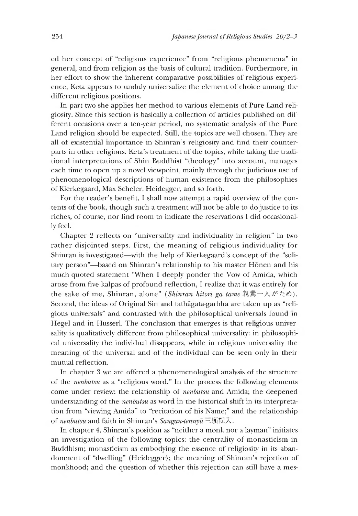ed her concept of "religious experience" from "religious phenomena" in general, and from religion as the basis of cultural tradition. Furthermore, in her effort to show the inherent comparative possibilities of religious experience, Keta appears to unduly universalize the element of choice among the different religious positions.

In part two she applies her method to various elements of Pure Land religiosity. Since this section is basically a collection of articles published on different occasions over a ten-year period, no systematic analysis of the Pure Land religion should be expected. Still, the topics are well chosen. They are all of existential importance in Shinran's religiosity and find their counterparts in other religions. Keta's treatment of the topics, while taking the traditional interpretations of Shin Buddhist "theology" into account, manages each time to open up a novel viewpoint, mainly through the judicious use of phenomenological descriptions of human existence from the philosophies of Kierkegaard, Max Scheler, Heidegger, and so forth.

For the reader's benefit, I shall now attempt a rapid overview of the contents of the book, though such a treatment will not be able to do justice to its riches, of course, nor find room to indicate the reservations I did occasionally feel.

Chapter 2 reflects on "universality and individuality in religion" in two rather disjointed steps. First, the meaning of religious individuality for Shinran is investigated—with the help of Kierkegaard's concept of the "solitary person"-based on Shinran's relationship to his master Honen and his much-quoted statement "When I deeply ponder the Vow of Amida, which arose from five kalpas of profound reflection, I realize that it was entirely for the sake of me, Shinran, alone" *(Shinran hitori ga tame* 親鸞一人がため). Second, the ideas of Original Sin and tathagata-garbha are taken up as "religious universals" and contrasted with the philosophical universals founa in Hegel and in Husserl. The conclusion that emerges is that religious universality is qualitatively different from philosophical universality: in philosopnical universality the individual disappears, while in religious universality the meaning of the universal and of the individual can be seen only in their mutual reflection.

In chapter 3 we are offered a phenomenological analysis of the structure of the *nenbutsu* as a "religious word." In the process the following elements come under review: the relationship of *nenbutsu* and Amida; the deepened understanding of the *nenbutsu* as word in the historical shift in its interpretation from "viewing Amida" to "recitation of his Name;" and the relationship of *nenbutsu* and faith in Shinran's *Sangan-tennyu* 三願転入.

In chapter 4, Shinran's position as "neither a monk nor a layman" initiates an investigation of the following topics: the centrality of monasticism in Buddhism; monasticism as embodying the essence of religiosity in its abandonment of "dwelling" (Heidegger); the meaning of Shinran's rejection of monkhood; and the question of whether this rejection can still have a mes